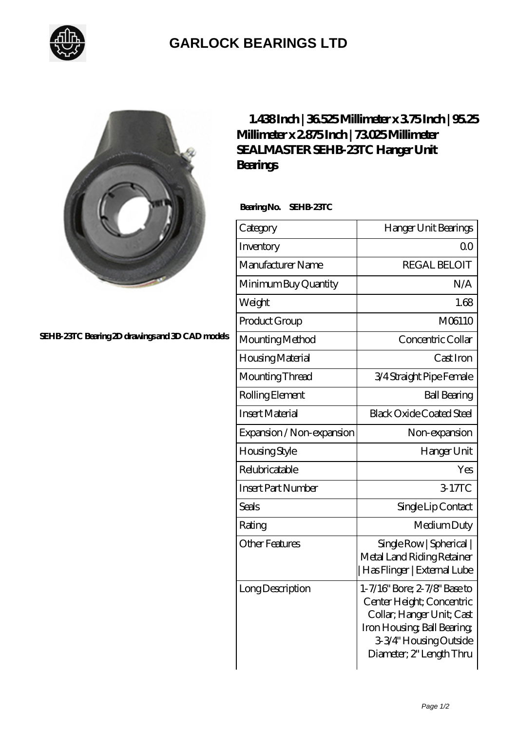

## **[GARLOCK BEARINGS LTD](https://m.letterstopriests.com)**



**[SEHB-23TC Bearing 2D drawings and 3D CAD models](https://m.letterstopriests.com/pic-189035.html)**

## **[1.438 Inch | 36.525 Millimeter x 3.75 Inch | 95.25](https://m.letterstopriests.com/af-189035-sealmaster-sehb-23tc-hanger-unit-bearings.html) [Millimeter x 2.875 Inch | 73.025 Millimeter](https://m.letterstopriests.com/af-189035-sealmaster-sehb-23tc-hanger-unit-bearings.html) [SEALMASTER SEHB-23TC Hanger Unit](https://m.letterstopriests.com/af-189035-sealmaster-sehb-23tc-hanger-unit-bearings.html) [Bearings](https://m.letterstopriests.com/af-189035-sealmaster-sehb-23tc-hanger-unit-bearings.html)**

 **Bearing No. SEHB-23TC**

| Category                  | Hanger Unit Bearings                                                                                                                                                        |
|---------------------------|-----------------------------------------------------------------------------------------------------------------------------------------------------------------------------|
| Inventory                 | 0 <sub>0</sub>                                                                                                                                                              |
| Manufacturer Name         | <b>REGAL BELOIT</b>                                                                                                                                                         |
| Minimum Buy Quantity      | N/A                                                                                                                                                                         |
| Weight                    | 1.68                                                                                                                                                                        |
| Product Group             | M06110                                                                                                                                                                      |
| Mounting Method           | Concentric Collar                                                                                                                                                           |
| Housing Material          | Cast Iron                                                                                                                                                                   |
| Mounting Thread           | 3/4 Straight Pipe Female                                                                                                                                                    |
| Rolling Element           | <b>Ball Bearing</b>                                                                                                                                                         |
| <b>Insert Material</b>    | <b>Black Oxide Coated Steel</b>                                                                                                                                             |
| Expansion / Non-expansion | Non-expansion                                                                                                                                                               |
| <b>Housing Style</b>      | Hanger Unit                                                                                                                                                                 |
| Relubricatable            | Yes                                                                                                                                                                         |
| <b>Insert Part Number</b> | 3-17TC                                                                                                                                                                      |
| <b>Seals</b>              | Single Lip Contact                                                                                                                                                          |
| Rating                    | Medium Duty                                                                                                                                                                 |
| <b>Other Features</b>     | Single Row   Spherical  <br>Metal Land Riding Retainer<br>Has Flinger   External Lube                                                                                       |
| Long Description          | 1-7/16" Bore; 2-7/8" Base to<br>Center Height; Concentric<br>Collar; Hanger Unit; Cast<br>Iron Housing, Ball Bearing,<br>3-3/4" Housing Outside<br>Diameter; 2" Length Thru |